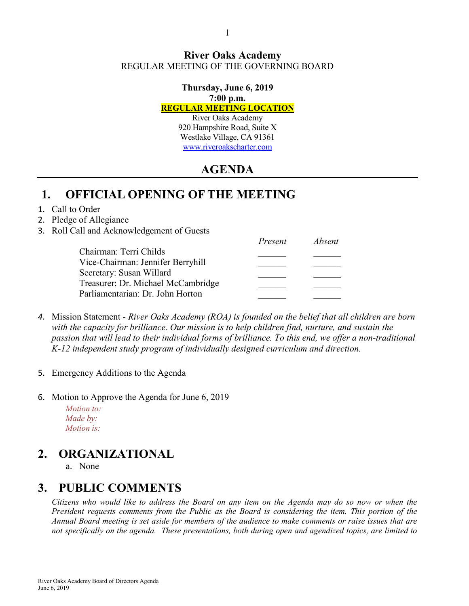#### **River Oaks Academy** REGULAR MEETING OF THE GOVERNING BOARD

#### **Thursday, June 6, 2019 7:00 p.m.**

#### **REGULAR MEETING LOCATION**

River Oaks Academy 920 Hampshire Road, Suite X Westlake Village, CA 91361 [www.riveroakscharter.com](http://www.riveroakscharter.com/)

# **AGENDA**

## **1. OFFICIAL OPENING OF THE MEETING**

#### 1. Call to Order

#### 2. Pledge of Allegiance

3. Roll Call and Acknowledgement of Guests

|                                    | Present | Absent |
|------------------------------------|---------|--------|
| Chairman: Terri Childs             |         |        |
| Vice-Chairman: Jennifer Berryhill  |         |        |
| Secretary: Susan Willard           |         |        |
| Treasurer: Dr. Michael McCambridge |         |        |
| Parliamentarian: Dr. John Horton   |         |        |

- *4.* Mission Statement *River Oaks Academy (ROA) is founded on the belief that all children are born with the capacity for brilliance. Our mission is to help children find, nurture, and sustain the passion that will lead to their individual forms of brilliance. To this end, we offer a non-traditional K-12 independent study program of individually designed curriculum and direction.*
- 5. Emergency Additions to the Agenda
- 6. Motion to Approve the Agenda for June 6, 2019

*Motion to: Made by: Motion is:*

# **2. ORGANIZATIONAL**

a. None

## **3. PUBLIC COMMENTS**

*Citizens who would like to address the Board on any item on the Agenda may do so now or when the President requests comments from the Public as the Board is considering the item. This portion of the Annual Board meeting is set aside for members of the audience to make comments or raise issues that are not specifically on the agenda. These presentations, both during open and agendized topics, are limited to*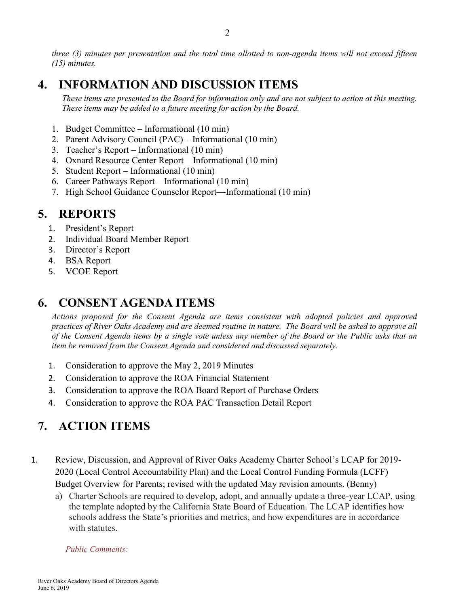*three (3) minutes per presentation and the total time allotted to non-agenda items will not exceed fifteen (15) minutes.*

## **4. INFORMATION AND DISCUSSION ITEMS**

*These items are presented to the Board for information only and are not subject to action at this meeting. These items may be added to a future meeting for action by the Board.*

- 1. Budget Committee Informational (10 min)
- 2. Parent Advisory Council (PAC) Informational (10 min)
- 3. Teacher's Report Informational (10 min)
- 4. Oxnard Resource Center Report—Informational (10 min)
- 5. Student Report Informational (10 min)
- 6. Career Pathways Report Informational (10 min)
- 7. High School Guidance Counselor Report—Informational (10 min)

### **5. REPORTS**

- 1. President's Report
- 2. Individual Board Member Report
- 3. Director's Report
- 4. BSA Report
- 5. VCOE Report

## **6. CONSENT AGENDA ITEMS**

*Actions proposed for the Consent Agenda are items consistent with adopted policies and approved practices of River Oaks Academy and are deemed routine in nature. The Board will be asked to approve all of the Consent Agenda items by a single vote unless any member of the Board or the Public asks that an item be removed from the Consent Agenda and considered and discussed separately.*

- 1. Consideration to approve the May 2, 2019 Minutes
- 2. Consideration to approve the ROA Financial Statement
- 3. Consideration to approve the ROA Board Report of Purchase Orders
- 4. Consideration to approve the ROA PAC Transaction Detail Report

# **7. ACTION ITEMS**

- 1. Review, Discussion, and Approval of River Oaks Academy Charter School's LCAP for 2019- 2020 (Local Control Accountability Plan) and the Local Control Funding Formula (LCFF) Budget Overview for Parents; revised with the updated May revision amounts. (Benny)
	- a) Charter Schools are required to develop, adopt, and annually update a three-year LCAP, using the template adopted by the California State Board of Education. The LCAP identifies how schools address the State's priorities and metrics, and how expenditures are in accordance with statutes.

#### *Public Comments:*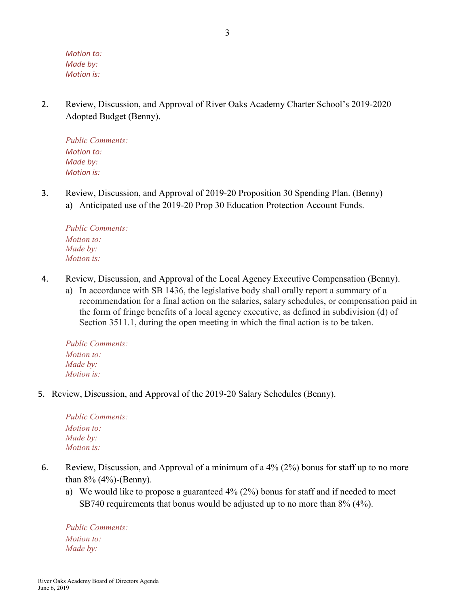*Motion to: Made by: Motion is:*

2. Review, Discussion, and Approval of River Oaks Academy Charter School's 2019-2020 Adopted Budget (Benny).

*Public Comments: Motion to: Made by: Motion is:*

3. Review, Discussion, and Approval of 2019-20 Proposition 30 Spending Plan. (Benny) a) Anticipated use of the 2019-20 Prop 30 Education Protection Account Funds.

*Public Comments: Motion to: Made by: Motion is:*

- 4. Review, Discussion, and Approval of the Local Agency Executive Compensation (Benny).
	- a) In accordance with SB 1436, the legislative body shall orally report a summary of a recommendation for a final action on the salaries, salary schedules, or compensation paid in the form of fringe benefits of a local agency executive, as defined in subdivision (d) of Section 3511.1, during the open meeting in which the final action is to be taken.

*Public Comments: Motion to: Made by: Motion is:*

5. Review, Discussion, and Approval of the 2019-20 Salary Schedules (Benny).

*Public Comments: Motion to: Made by: Motion is:*

- 6. Review, Discussion, and Approval of a minimum of a 4% (2%) bonus for staff up to no more than 8% (4%)-(Benny).
	- a) We would like to propose a guaranteed 4% (2%) bonus for staff and if needed to meet SB740 requirements that bonus would be adjusted up to no more than 8% (4%).

*Public Comments: Motion to: Made by:*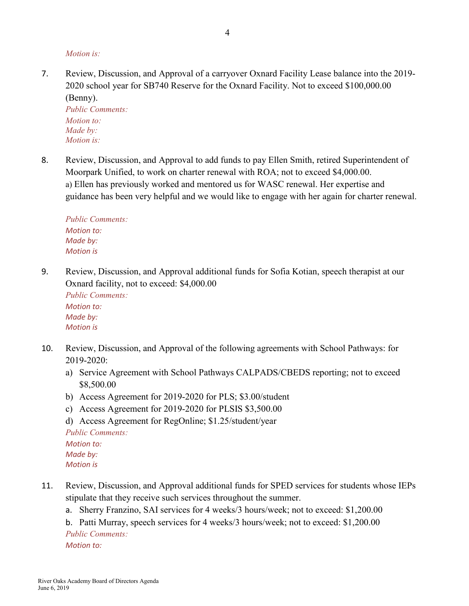*Motion is:*

7. Review, Discussion, and Approval of a carryover Oxnard Facility Lease balance into the 2019- 2020 school year for SB740 Reserve for the Oxnard Facility. Not to exceed \$100,000.00 (Benny).

*Public Comments: Motion to: Made by: Motion is:*

8. Review, Discussion, and Approval to add funds to pay Ellen Smith, retired Superintendent of Moorpark Unified, to work on charter renewal with ROA; not to exceed \$4,000.00. a) Ellen has previously worked and mentored us for WASC renewal. Her expertise and guidance has been very helpful and we would like to engage with her again for charter renewal.

*Public Comments: Motion to: Made by: Motion is*

9. Review, Discussion, and Approval additional funds for Sofia Kotian, speech therapist at our Oxnard facility, not to exceed: \$4,000.00

*Public Comments: Motion to: Made by: Motion is*

- 10. Review, Discussion, and Approval of the following agreements with School Pathways: for 2019-2020:
	- a) Service Agreement with School Pathways CALPADS/CBEDS reporting; not to exceed \$8,500.00
	- b) Access Agreement for 2019-2020 for PLS; \$3.00/student
	- c) Access Agreement for 2019-2020 for PLSIS \$3,500.00
	- d) Access Agreement for RegOnline; \$1.25/student/year *Public Comments: Motion to: Made by: Motion is*
- 11. Review, Discussion, and Approval additional funds for SPED services for students whose IEPs stipulate that they receive such services throughout the summer.
	- a. Sherry Franzino, SAI services for 4 weeks/3 hours/week; not to exceed: \$1,200.00

b. Patti Murray, speech services for 4 weeks/3 hours/week; not to exceed: \$1,200.00 *Public Comments: Motion to:*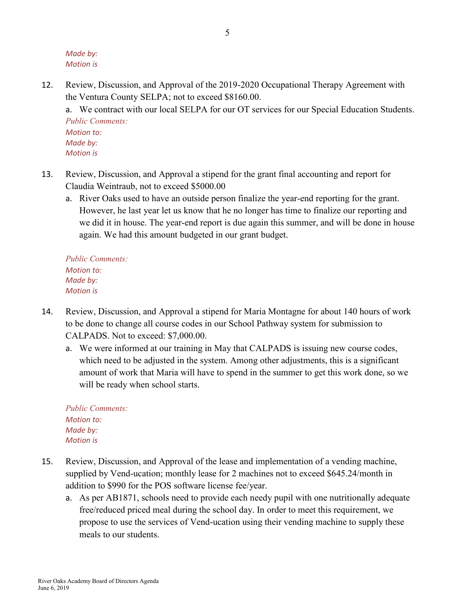*Made by: Motion is*

12. Review, Discussion, and Approval of the 2019-2020 Occupational Therapy Agreement with the Ventura County SELPA; not to exceed \$8160.00.

a. We contract with our local SELPA for our OT services for our Special Education Students. *Public Comments: Motion to:*

*Made by: Motion is*

- 13. Review, Discussion, and Approval a stipend for the grant final accounting and report for Claudia Weintraub, not to exceed \$5000.00
	- a. River Oaks used to have an outside person finalize the year-end reporting for the grant. However, he last year let us know that he no longer has time to finalize our reporting and we did it in house. The year-end report is due again this summer, and will be done in house again. We had this amount budgeted in our grant budget.

*Public Comments: Motion to: Made by: Motion is*

- 14. Review, Discussion, and Approval a stipend for Maria Montagne for about 140 hours of work to be done to change all course codes in our School Pathway system for submission to CALPADS. Not to exceed: \$7,000.00.
	- a. We were informed at our training in May that CALPADS is issuing new course codes, which need to be adjusted in the system. Among other adjustments, this is a significant amount of work that Maria will have to spend in the summer to get this work done, so we will be ready when school starts.

*Public Comments: Motion to: Made by: Motion is*

- 15. Review, Discussion, and Approval of the lease and implementation of a vending machine, supplied by Vend-ucation; monthly lease for 2 machines not to exceed \$645.24/month in addition to \$990 for the POS software license fee/year.
	- a. As per AB1871, schools need to provide each needy pupil with one nutritionally adequate free/reduced priced meal during the school day. In order to meet this requirement, we propose to use the services of Vend-ucation using their vending machine to supply these meals to our students.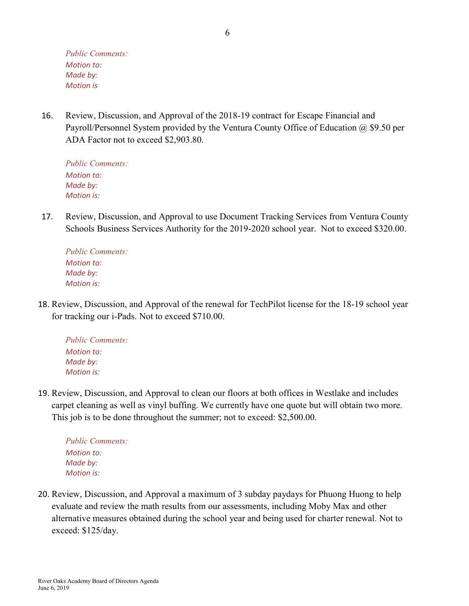16. Review, Discussion, and Approval of the 2018-19 contract for Escape Financial and Payroll/Personnel System provided by the Ventura County Office of Education @ \$9.50 per ADA Factor not to exceed \$2,903.80.

*Public Comments: Motion to: Made by: Motion is:*

17. Review, Discussion, and Approval to use Document Tracking Services from Ventura County Schools Business Services Authority for the 2019-2020 school year. Not to exceed \$320.00.

*Public Comments: Motion to: Made by: Motion is:*

18. Review, Discussion, and Approval of the renewal for TechPilot license for the 18-19 school year for tracking our i-Pads. Not to exceed \$710.00.

*Public Comments: Motion to: Made by: Motion is:*

19. Review, Discussion, and Approval to clean our floors at both offices in Westlake and includes carpet cleaning as well as vinyl buffing. We currently have one quote but will obtain two more. This job is to be done throughout the summer; not to exceed: \$2,500.00.

*Public Comments: Motion to: Made by: Motion is:*

20. Review, Discussion, and Approval a maximum of 3 subday paydays for Phuong Huong to help evaluate and review the math results from our assessments, including Moby Max and other alternative measures obtained during the school year and being used for charter renewal. Not to exceed: \$125/day.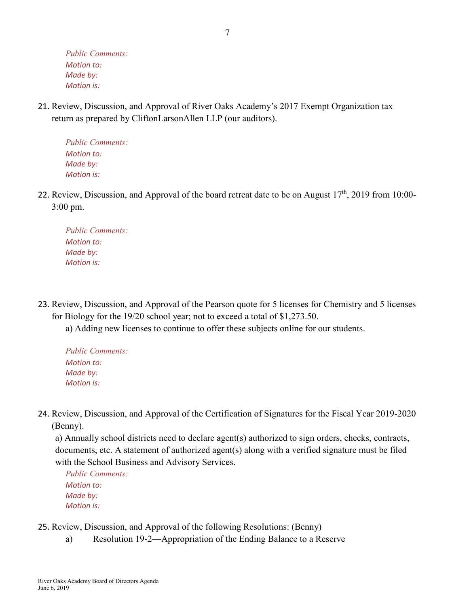21. Review, Discussion, and Approval of River Oaks Academy's 2017 Exempt Organization tax return as prepared by CliftonLarsonAllen LLP (our auditors).

*Public Comments: Motion to: Made by: Motion is:*

22. Review, Discussion, and Approval of the board retreat date to be on August 17<sup>th</sup>, 2019 from 10:00-3:00 pm.

*Public Comments: Motion to: Made by: Motion is:*

23. Review, Discussion, and Approval of the Pearson quote for 5 licenses for Chemistry and 5 licenses for Biology for the 19/20 school year; not to exceed a total of \$1,273.50.

a) Adding new licenses to continue to offer these subjects online for our students.

- *Public Comments: Motion to: Made by: Motion is:*
- 24. Review, Discussion, and Approval of the Certification of Signatures for the Fiscal Year 2019-2020 (Benny).

a) Annually school districts need to declare agent(s) authorized to sign orders, checks, contracts, documents, etc. A statement of authorized agent(s) along with a verified signature must be filed with the School Business and Advisory Services.

*Public Comments: Motion to: Made by: Motion is:*

- 25. Review, Discussion, and Approval of the following Resolutions: (Benny)
	- a) Resolution 19-2—Appropriation of the Ending Balance to a Reserve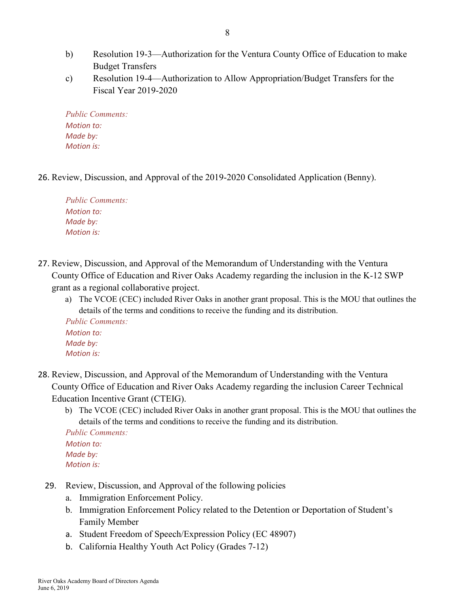- b) Resolution 19-3—Authorization for the Ventura County Office of Education to make Budget Transfers
- c) Resolution 19-4—Authorization to Allow Appropriation/Budget Transfers for the Fiscal Year 2019-2020

26. Review, Discussion, and Approval of the 2019-2020 Consolidated Application (Benny).

*Public Comments: Motion to: Made by: Motion is:*

- 27. Review, Discussion, and Approval of the Memorandum of Understanding with the Ventura County Office of Education and River Oaks Academy regarding the inclusion in the K-12 SWP grant as a regional collaborative project.
	- a) The VCOE (CEC) included River Oaks in another grant proposal. This is the MOU that outlines the details of the terms and conditions to receive the funding and its distribution.

*Public Comments: Motion to: Made by: Motion is:*

- 28. Review, Discussion, and Approval of the Memorandum of Understanding with the Ventura County Office of Education and River Oaks Academy regarding the inclusion Career Technical Education Incentive Grant (CTEIG).
	- b) The VCOE (CEC) included River Oaks in another grant proposal. This is the MOU that outlines the details of the terms and conditions to receive the funding and its distribution.

*Public Comments: Motion to: Made by: Motion is:*

- 29. Review, Discussion, and Approval of the following policies
	- a. Immigration Enforcement Policy.
	- b. Immigration Enforcement Policy related to the Detention or Deportation of Student's Family Member
	- a. Student Freedom of Speech/Expression Policy (EC 48907)
	- b. California Healthy Youth Act Policy (Grades 7-12)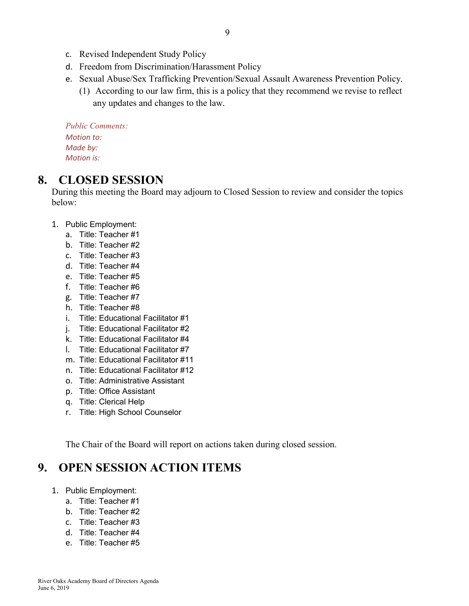- c. Revised Independent Study Policy
- d. Freedom from Discrimination/Harassment Policy
- e. Sexual Abuse/Sex Trafficking Prevention/Sexual Assault Awareness Prevention Policy.
	- (1) According to our law firm, this is a policy that they recommend we revise to reflect any updates and changes to the law.

#### **8. CLOSED SESSION**

During this meeting the Board may adjourn to Closed Session to review and consider the topics below:

- 1. Public Employment:
	- a. Title: Teacher #1
	- b. Title: Teacher #2
	- c. Title: Teacher #3
	- d. Title: Teacher #4
	- e. Title: Teacher #5
	- f. Title: Teacher #6
	- g. Title: Teacher #7
	- h. Title: Teacher #8
	- i. Title: Educational Facilitator #1
	- j. Title: Educational Facilitator #2
	- k. Title: Educational Facilitator #4
	- l. Title: Educational Facilitator #7
	- m. Title: Educational Facilitator #11
	- n. Title: Educational Facilitator #12
	- o. Title: Administrative Assistant
	- p. Title: Office Assistant
	- q. Title: Clerical Help
	- r. Title: High School Counselor

The Chair of the Board will report on actions taken during closed session.

# **9. OPEN SESSION ACTION ITEMS**

- 1. Public Employment:
	- a. Title: Teacher #1
	- b. Title: Teacher #2
	- c. Title: Teacher #3
	- d. Title: Teacher #4
	- e. Title: Teacher #5